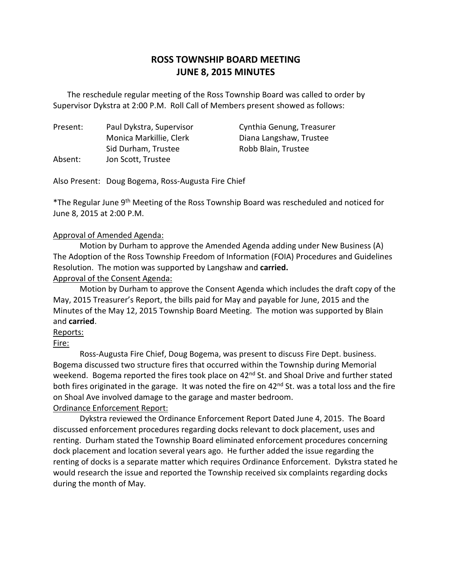# **ROSS TOWNSHIP BOARD MEETING JUNE 8, 2015 MINUTES**

 Supervisor Dykstra at 2:00 P.M. Roll Call of Members present showed as follows: The reschedule regular meeting of the Ross Township Board was called to order by

Present: Absent: Monica Markillie, Clerk Diana Langshaw, Trustee Sid Durham, Trustee Robb Blain, Trustee Jon Scott, Trustee

Paul Dykstra, Supervisor Cynthia Genung, Treasurer

Also Present: Doug Bogema, Ross-Augusta Fire Chief

\*The Regular June 9<sup>th</sup> Meeting of the Ross Township Board was rescheduled and noticed for June 8, 2015 at 2:00 P.M.

### Approval of Amended Agenda:

 Motion by Durham to approve the Amended Agenda adding under New Business (A) The Adoption of the Ross Township Freedom of Information (FOIA) Procedures and Guidelines Resolution. The motion was supported by Langshaw and **carried.** 

Approval of the Consent Agenda:

 Motion by Durham to approve the Consent Agenda which includes the draft copy of the May, 2015 Treasurer's Report, the bills paid for May and payable for June, 2015 and the Minutes of the May 12, 2015 Township Board Meeting. The motion was supported by Blain and **carried**.

## Reports:

Fire:

 Ross-Augusta Fire Chief, Doug Bogema, was present to discuss Fire Dept. business. Bogema discussed two structure fires that occurred within the Township during Memorial weekend. Bogema reported the fires took place on 42<sup>nd</sup> St. and Shoal Drive and further stated both fires originated in the garage. It was noted the fire on 42<sup>nd</sup> St. was a total loss and the fire on Shoal Ave involved damage to the garage and master bedroom.

## Ordinance Enforcement Report:

 Dykstra reviewed the Ordinance Enforcement Report Dated June 4, 2015. The Board discussed enforcement procedures regarding docks relevant to dock placement, uses and renting. Durham stated the Township Board eliminated enforcement procedures concerning dock placement and location several years ago. He further added the issue regarding the renting of docks is a separate matter which requires Ordinance Enforcement. Dykstra stated he would research the issue and reported the Township received six complaints regarding docks during the month of May.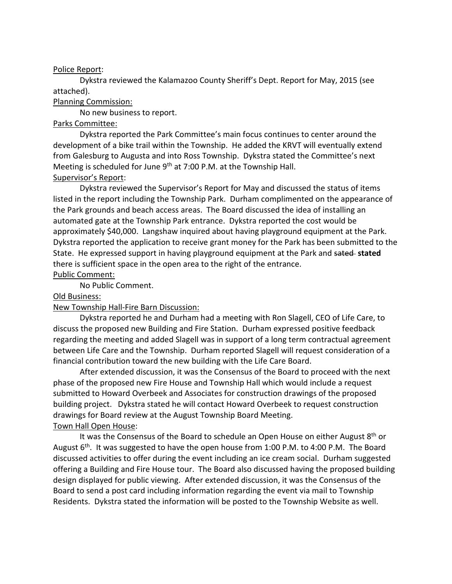#### Police Report:

 Dykstra reviewed the Kalamazoo County Sheriff's Dept. Report for May, 2015 (see attached).

#### Planning Commission:

No new business to report.

#### Parks Committee:

 Dykstra reported the Park Committee's main focus continues to center around the development of a bike trail within the Township. He added the KRVT will eventually extend from Galesburg to Augusta and into Ross Township. Dykstra stated the Committee's next Meeting is scheduled for June 9<sup>th</sup> at 7:00 P.M. at the Township Hall. Supervisor's Report:

 Dykstra reviewed the Supervisor's Report for May and discussed the status of items listed in the report including the Township Park. Durham complimented on the appearance of the Park grounds and beach access areas. The Board discussed the idea of installing an automated gate at the Township Park entrance. Dykstra reported the cost would be approximately \$40,000. Langshaw inquired about having playground equipment at the Park. Dykstra reported the application to receive grant money for the Park has been submitted to the State. He expressed support in having playground equipment at the Park and sated **stated**  there is sufficient space in the open area to the right of the entrance.

### Public Comment:

No Public Comment.

#### Old Business:

### New Township Hall-Fire Barn Discussion:

 Dykstra reported he and Durham had a meeting with Ron Slagell, CEO of Life Care, to discuss the proposed new Building and Fire Station. Durham expressed positive feedback regarding the meeting and added Slagell was in support of a long term contractual agreement between Life Care and the Township. Durham reported Slagell will request consideration of a financial contribution toward the new building with the Life Care Board.

 phase of the proposed new Fire House and Township Hall which would include a request submitted to Howard Overbeek and Associates for construction drawings of the proposed building project. Dykstra stated he will contact Howard Overbeek to request construction drawings for Board review at the August Township Board Meeting. Town Hall Open House: After extended discussion, it was the Consensus of the Board to proceed with the next

# August 6<sup>th</sup>. It was suggested to have the open house from 1:00 P.M. to 4:00 P.M. The Board discussed activities to offer during the event including an ice cream social. Durham suggested offering a Building and Fire House tour. The Board also discussed having the proposed building design displayed for public viewing. After extended discussion, it was the Consensus of the Board to send a post card including information regarding the event via mail to Township Residents. Dykstra stated the information will be posted to the Township Website as well. It was the Consensus of the Board to schedule an Open House on either August  $8<sup>th</sup>$  or